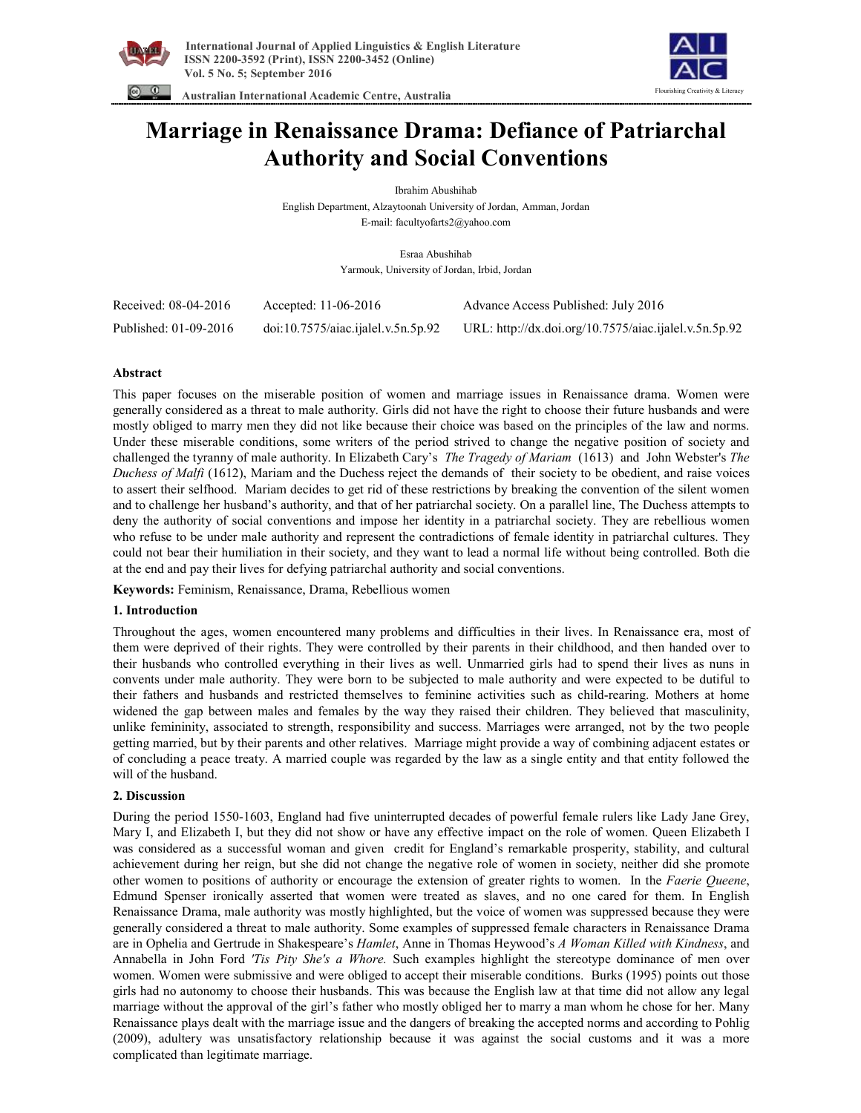



 **Australian International Academic Centre, Australia** 

# **Marriage in Renaissance Drama: Defiance of Patriarchal Authority and Social Conventions**

Ibrahim Abushihab English Department, Alzaytoonah University of Jordan, Amman, Jordan E-mail: facultyofarts2@yahoo.com

> Esraa Abushihab Yarmouk, University of Jordan, Irbid, Jordan

| Received: 08-04-2016  | Accepted: 11-06-2016                                       | Advance Access Published: July 2016                   |
|-----------------------|------------------------------------------------------------|-------------------------------------------------------|
| Published: 01-09-2016 | $\dot{\text{doi:}} 10.7575/\text{aiac.}$ ijalel.v.5n.5p.92 | URL: http://dx.doi.org/10.7575/aiac.ijalel.v.5n.5p.92 |

## **Abstract**

This paper focuses on the miserable position of women and marriage issues in Renaissance drama. Women were generally considered as a threat to male authority. Girls did not have the right to choose their future husbands and were mostly obliged to marry men they did not like because their choice was based on the principles of the law and norms. Under these miserable conditions, some writers of the period strived to change the negative position of society and challenged the tyranny of male authority. In Elizabeth Cary's *The Tragedy of Mariam* (1613) and John Webster's *The Duchess of Malfi* (1612), Mariam and the Duchess reject the demands of their society to be obedient, and raise voices to assert their selfhood. Mariam decides to get rid of these restrictions by breaking the convention of the silent women and to challenge her husband's authority, and that of her patriarchal society. On a parallel line, The Duchess attempts to deny the authority of social conventions and impose her identity in a patriarchal society. They are rebellious women who refuse to be under male authority and represent the contradictions of female identity in patriarchal cultures. They could not bear their humiliation in their society, and they want to lead a normal life without being controlled. Both die at the end and pay their lives for defying patriarchal authority and social conventions.

**Keywords:** Feminism, Renaissance, Drama, Rebellious women

## **1. Introduction**

Throughout the ages, women encountered many problems and difficulties in their lives. In Renaissance era, most of them were deprived of their rights. They were controlled by their parents in their childhood, and then handed over to their husbands who controlled everything in their lives as well. Unmarried girls had to spend their lives as nuns in convents under male authority. They were born to be subjected to male authority and were expected to be dutiful to their fathers and husbands and restricted themselves to feminine activities such as child-rearing. Mothers at home widened the gap between males and females by the way they raised their children. They believed that masculinity, unlike femininity, associated to strength, responsibility and success. Marriages were arranged, not by the two people getting married, but by their parents and other relatives. Marriage might provide a way of combining adjacent estates or of concluding a peace treaty. A married couple was regarded by the law as a single entity and that entity followed the will of the husband.

## **2. Discussion**

During the period 1550-1603, England had five uninterrupted decades of powerful female rulers like Lady Jane Grey, Mary I, and Elizabeth I, but they did not show or have any effective impact on the role of women. Queen Elizabeth I was considered as a successful woman and given credit for England's remarkable prosperity, stability, and cultural achievement during her reign, but she did not change the negative role of women in society, neither did she promote other women to positions of authority or encourage the extension of greater rights to women. In the *Faerie Queene*, Edmund Spenser ironically asserted that women were treated as slaves, and no one cared for them. In English Renaissance Drama, male authority was mostly highlighted, but the voice of women was suppressed because they were generally considered a threat to male authority. Some examples of suppressed female characters in Renaissance Drama are in Ophelia and Gertrude in Shakespeare's *Hamlet*, Anne in Thomas Heywood's *A Woman Killed with Kindness*, and Annabella in John Ford *'Tis Pity She's a Whore.* Such examples highlight the stereotype dominance of men over women. Women were submissive and were obliged to accept their miserable conditions. Burks (1995) points out those girls had no autonomy to choose their husbands. This was because the English law at that time did not allow any legal marriage without the approval of the girl's father who mostly obliged her to marry a man whom he chose for her. Many Renaissance plays dealt with the marriage issue and the dangers of breaking the accepted norms and according to Pohlig (2009), adultery was unsatisfactory relationship because it was against the social customs and it was a more complicated than legitimate marriage.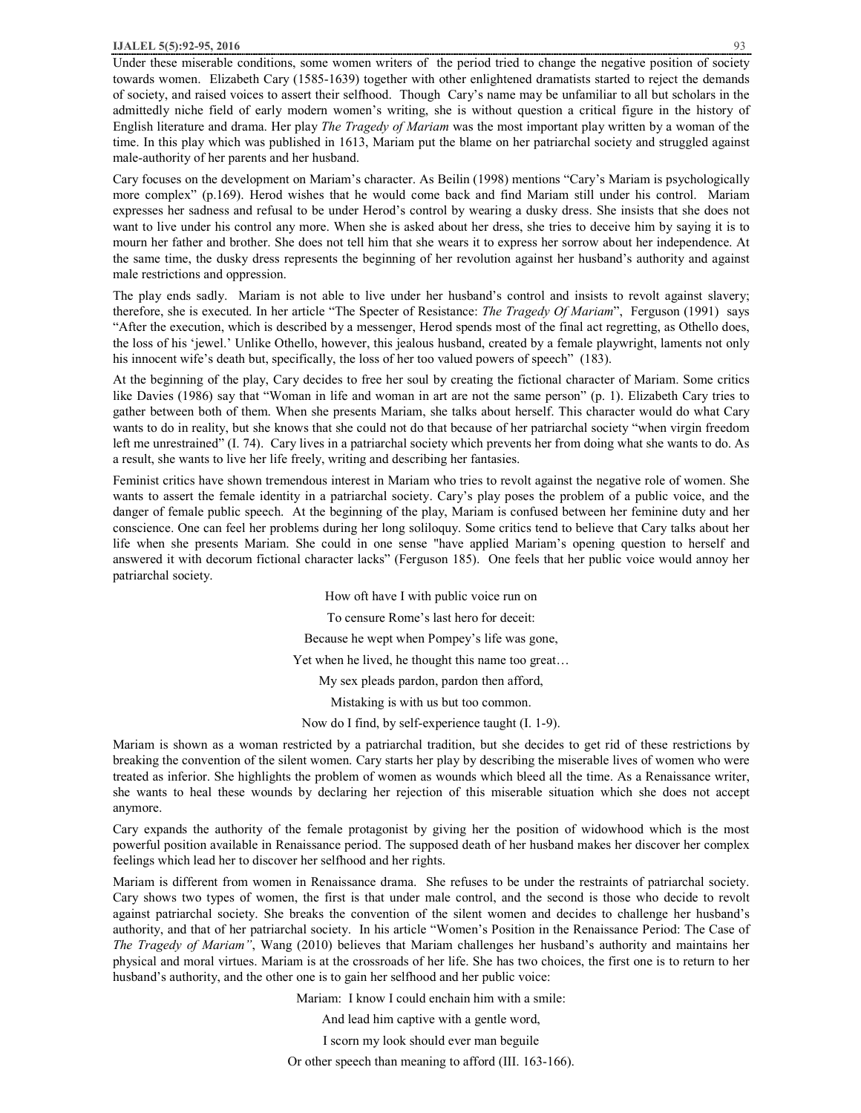#### **IJALEL 5(5):92-95, 2016** 93

Under these miserable conditions, some women writers of the period tried to change the negative position of society towards women. Elizabeth Cary (1585-1639) together with other enlightened dramatists started to reject the demands of society, and raised voices to assert their selfhood. Though Cary's name may be unfamiliar to all but scholars in the admittedly niche field of early modern women's writing, she is without question a critical figure in the history of English literature and drama. Her play *The Tragedy of Mariam* was the most important play written by a woman of the time. In this play which was published in 1613, Mariam put the blame on her patriarchal society and struggled against male-authority of her parents and her husband.

Cary focuses on the development on Mariam's character. As Beilin (1998) mentions "Cary's Mariam is psychologically more complex" (p.169). Herod wishes that he would come back and find Mariam still under his control. Mariam expresses her sadness and refusal to be under Herod's control by wearing a dusky dress. She insists that she does not want to live under his control any more. When she is asked about her dress, she tries to deceive him by saying it is to mourn her father and brother. She does not tell him that she wears it to express her sorrow about her independence. At the same time, the dusky dress represents the beginning of her revolution against her husband's authority and against male restrictions and oppression.

The play ends sadly. Mariam is not able to live under her husband's control and insists to revolt against slavery; therefore, she is executed. In her article "The Specter of Resistance: *The Tragedy Of Mariam*", Ferguson (1991) says "After the execution, which is described by a messenger, Herod spends most of the final act regretting, as Othello does, the loss of his 'jewel.' Unlike Othello, however, this jealous husband, created by a female playwright, laments not only his innocent wife's death but, specifically, the loss of her too valued powers of speech" (183).

At the beginning of the play, Cary decides to free her soul by creating the fictional character of Mariam. Some critics like Davies (1986) say that "Woman in life and woman in art are not the same person" (p. 1). Elizabeth Cary tries to gather between both of them. When she presents Mariam, she talks about herself. This character would do what Cary wants to do in reality, but she knows that she could not do that because of her patriarchal society "when virgin freedom left me unrestrained" (I. 74). Cary lives in a patriarchal society which prevents her from doing what she wants to do. As a result, she wants to live her life freely, writing and describing her fantasies.

Feminist critics have shown tremendous interest in Mariam who tries to revolt against the negative role of women. She wants to assert the female identity in a patriarchal society. Cary's play poses the problem of a public voice, and the danger of female public speech. At the beginning of the play, Mariam is confused between her feminine duty and her conscience. One can feel her problems during her long soliloquy. Some critics tend to believe that Cary talks about her life when she presents Mariam. She could in one sense "have applied Mariam's opening question to herself and answered it with decorum fictional character lacks" (Ferguson 185). One feels that her public voice would annoy her patriarchal society.

> How oft have I with public voice run on To censure Rome's last hero for deceit: Because he wept when Pompey's life was gone, Yet when he lived, he thought this name too great… My sex pleads pardon, pardon then afford, Mistaking is with us but too common. Now do I find, by self-experience taught (I. 1-9).

Mariam is shown as a woman restricted by a patriarchal tradition, but she decides to get rid of these restrictions by breaking the convention of the silent women. Cary starts her play by describing the miserable lives of women who were treated as inferior. She highlights the problem of women as wounds which bleed all the time. As a Renaissance writer, she wants to heal these wounds by declaring her rejection of this miserable situation which she does not accept anymore.

Cary expands the authority of the female protagonist by giving her the position of widowhood which is the most powerful position available in Renaissance period. The supposed death of her husband makes her discover her complex feelings which lead her to discover her selfhood and her rights.

Mariam is different from women in Renaissance drama. She refuses to be under the restraints of patriarchal society. Cary shows two types of women, the first is that under male control, and the second is those who decide to revolt against patriarchal society. She breaks the convention of the silent women and decides to challenge her husband's authority, and that of her patriarchal society. In his article "Women's Position in the Renaissance Period: The Case of *The Tragedy of Mariam"*, Wang (2010) believes that Mariam challenges her husband's authority and maintains her physical and moral virtues. Mariam is at the crossroads of her life. She has two choices, the first one is to return to her husband's authority, and the other one is to gain her selfhood and her public voice:

Mariam: I know I could enchain him with a smile:

And lead him captive with a gentle word,

I scorn my look should ever man beguile

Or other speech than meaning to afford (III. 163-166).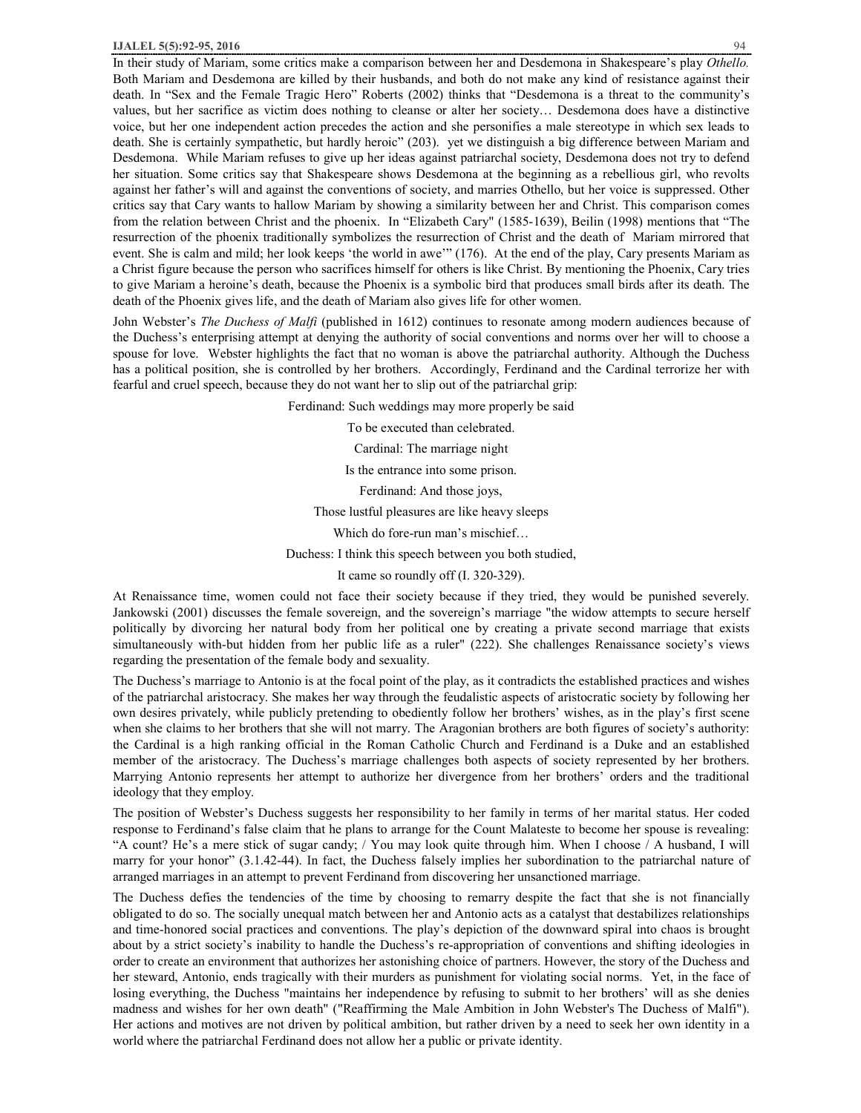In their study of Mariam, some critics make a comparison between her and Desdemona in Shakespeare's play *Othello.*  Both Mariam and Desdemona are killed by their husbands, and both do not make any kind of resistance against their death. In "Sex and the Female Tragic Hero" Roberts (2002) thinks that "Desdemona is a threat to the community's values, but her sacrifice as victim does nothing to cleanse or alter her society… Desdemona does have a distinctive voice, but her one independent action precedes the action and she personifies a male stereotype in which sex leads to death. She is certainly sympathetic, but hardly heroic" (203). yet we distinguish a big difference between Mariam and Desdemona. While Mariam refuses to give up her ideas against patriarchal society, Desdemona does not try to defend her situation. Some critics say that Shakespeare shows Desdemona at the beginning as a rebellious girl, who revolts against her father's will and against the conventions of society, and marries Othello, but her voice is suppressed. Other critics say that Cary wants to hallow Mariam by showing a similarity between her and Christ. This comparison comes from the relation between Christ and the phoenix. In "Elizabeth Cary" (1585-1639), Beilin (1998) mentions that "The resurrection of the phoenix traditionally symbolizes the resurrection of Christ and the death of Mariam mirrored that event. She is calm and mild; her look keeps 'the world in awe'" (176). At the end of the play, Cary presents Mariam as a Christ figure because the person who sacrifices himself for others is like Christ. By mentioning the Phoenix, Cary tries to give Mariam a heroine's death, because the Phoenix is a symbolic bird that produces small birds after its death. The death of the Phoenix gives life, and the death of Mariam also gives life for other women.

John Webster's *The Duchess of Malfi* (published in 1612) continues to resonate among modern audiences because of the Duchess's enterprising attempt at denying the authority of social conventions and norms over her will to choose a spouse for love. Webster highlights the fact that no woman is above the patriarchal authority. Although the Duchess has a political position, she is controlled by her brothers. Accordingly, Ferdinand and the Cardinal terrorize her with fearful and cruel speech, because they do not want her to slip out of the patriarchal grip:

Ferdinand: Such weddings may more properly be said

To be executed than celebrated.

Cardinal: The marriage night

Is the entrance into some prison.

Ferdinand: And those joys,

Those lustful pleasures are like heavy sleeps

Which do fore-run man's mischief…

Duchess: I think this speech between you both studied,

It came so roundly off (I. 320-329).

At Renaissance time, women could not face their society because if they tried, they would be punished severely. Jankowski (2001) discusses the female sovereign, and the sovereign's marriage "the widow attempts to secure herself politically by divorcing her natural body from her political one by creating a private second marriage that exists simultaneously with-but hidden from her public life as a ruler" (222). She challenges Renaissance society's views regarding the presentation of the female body and sexuality.

The Duchess's marriage to Antonio is at the focal point of the play, as it contradicts the established practices and wishes of the patriarchal aristocracy. She makes her way through the feudalistic aspects of aristocratic society by following her own desires privately, while publicly pretending to obediently follow her brothers' wishes, as in the play's first scene when she claims to her brothers that she will not marry. The Aragonian brothers are both figures of society's authority: the Cardinal is a high ranking official in the Roman Catholic Church and Ferdinand is a Duke and an established member of the aristocracy. The Duchess's marriage challenges both aspects of society represented by her brothers. Marrying Antonio represents her attempt to authorize her divergence from her brothers' orders and the traditional ideology that they employ.

The position of Webster's Duchess suggests her responsibility to her family in terms of her marital status. Her coded response to Ferdinand's false claim that he plans to arrange for the Count Malateste to become her spouse is revealing: "A count? He's a mere stick of sugar candy; / You may look quite through him. When I choose / A husband, I will marry for your honor" (3.1.42-44). In fact, the Duchess falsely implies her subordination to the patriarchal nature of arranged marriages in an attempt to prevent Ferdinand from discovering her unsanctioned marriage.

The Duchess defies the tendencies of the time by choosing to remarry despite the fact that she is not financially obligated to do so. The socially unequal match between her and Antonio acts as a catalyst that destabilizes relationships and time-honored social practices and conventions. The play's depiction of the downward spiral into chaos is brought about by a strict society's inability to handle the Duchess's re-appropriation of conventions and shifting ideologies in order to create an environment that authorizes her astonishing choice of partners. However, the story of the Duchess and her steward, Antonio, ends tragically with their murders as punishment for violating social norms. Yet, in the face of losing everything, the Duchess "maintains her independence by refusing to submit to her brothers' will as she denies madness and wishes for her own death" ("Reaffirming the Male Ambition in John Webster's The Duchess of Malfi"). Her actions and motives are not driven by political ambition, but rather driven by a need to seek her own identity in a world where the patriarchal Ferdinand does not allow her a public or private identity.